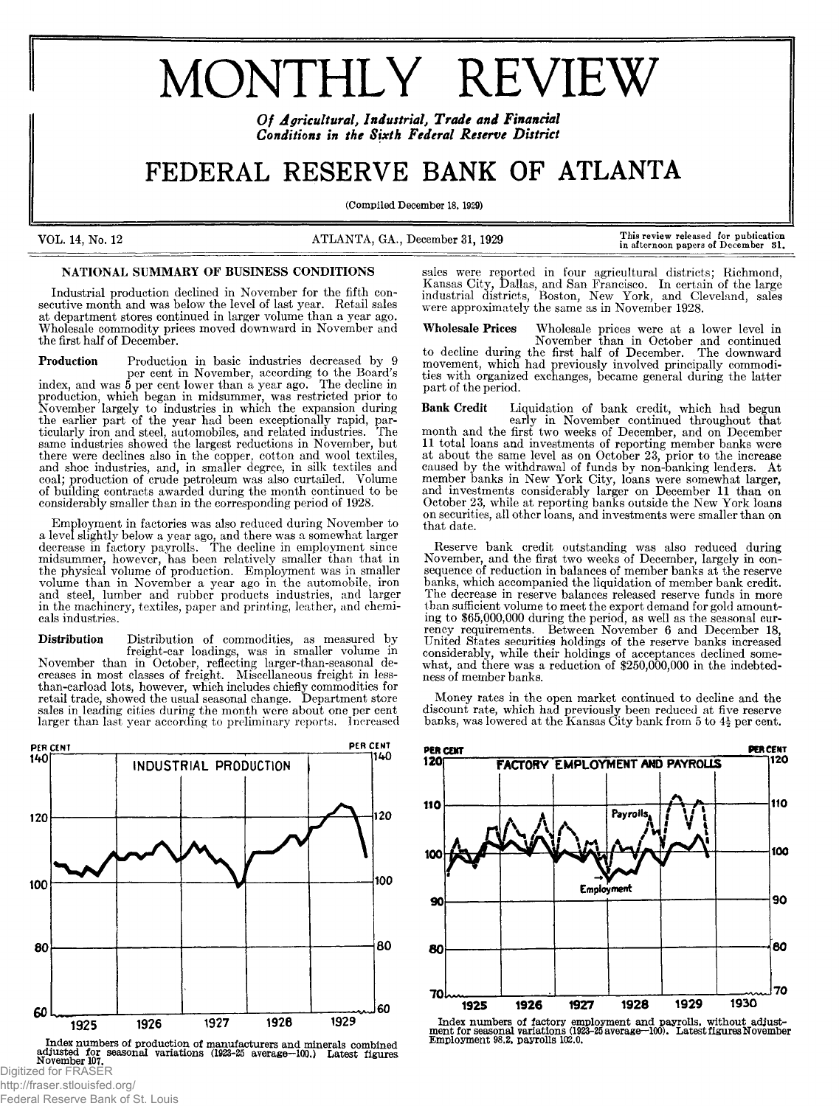# MONTHLY REVIEW

*Of Agricultural, Industrial, Trade and Financial Conditions in the Sixth Federal Reserve District*

# FEDERAL RESERVE BANK OF ATLANTA

(Compiled December 18. 1929)

VOL. 14, No. 12 ATLANTA, GA., December 31, 1929 **This review released for publication in afternoon papers of December 31.**

## NATIONAL SUMMARY OF BUSINESS CONDITIONS

Industrial production declined in November for the fifth consecutive month and was below the level of last year. Retail sales at department stores continued in larger volume than a year ago. Wholesale commodity prices moved downward in November and the first half of December.

Production Production in basic industries decreased by 9 per cent in November, according to the Board's index, and was 5 per cent lower than a year ago. The decline in production, which began in midsummer, was restricted prior to November largely to industries in which the expansion during the earlier part of the year had been exceptionally rapid, particularly iron and steel, automobiles, and related industries. same industries showed the largest reductions in November, but there were declines also in the copper, cotton and wool textiles, and shoe industries, and, in smaller degree, in silk textiles and coal; production of crude petroleum was also curtailed. Volume of building contracts awarded during the month continued to be considerably smaller than in the corresponding period of 1928.

Employment in factories was also reduced during November to a level slightly below a year ago, and there was a somewhat larger decrease in factory payrolls. The decline in employment since midsummer, however, has been relatively smaller than that in the physical volume of production. Employment was in smaller volume than in November a year ago in the automobile, iron and steel, lumber and rubber products industries, and larger in the machinery, textiles, paper and printing, leather, and chemicals industries.

Distribution Distribution of commodities, as measured by freight-car loadings, was in smaller volume in November than in October, reflecting larger-than-seasonal decreases in most classes of freight. Miscellaneous freight in lessthan-carload lots, however, which includes chiefly commodities for retail trade, showed the usual seasonal change. Department store sales in leading cities during the month were about one per cent larger than last year according to preliminary reports, Increased



Index numbers of production of manufacturers and minerals combined<br>adjusted for seasonal variations (1923-25 average-100.) Latest figures<br>Digitized for FRASER

http://fraser.stlouisfed.org/ Federal Reserve Bank of St. Louis sales were reported in four agricultural districts; Richmond, Kansas City, Dallas, and San Francisco. In certain of the large industrial districts, Boston, New York, and Cleveland, sales were approximately the same as in November 1928.

Wholesale Prices Wholesale prices were at a lower level in November than in October and continued to decline during the first half of December. The downward movement, which had previously involved principally commodities with organized exchanges, became general during the latter part of the period.

Bank Credit Liquidation of bank credit, which had begun early in November continued throughout that month and the first two weeks of December, and on December 11 total loans and investments of reporting member banks were at about the same level as on October 23, prior to the increase caused by the withdrawal of funds by non-banking lenders. At member banks in New York City, loans were somewhat larger, and investments considerably larger on December 11 than on October 23, while at reporting banks outside the New York loans on securities, all other loans, and investments were smaller than on that date.

Reserve bank credit outstanding was also reduced during November, and the first two weeks of December, largely in consequence of reduction in balances of member banks at the reserve banks, which accompanied the liquidation of member bank credit. The decrease in reserve balances released reserve funds in more than sufficient volume to meet the export demand for gold amounting to \$65,000,000 during the period, as well as the seasonal currency requirements. Between November 6 and December 18, United States securities holdings of the reserve banks increased considerably, while their holdings of acceptances declined somewhat, and there was a reduction of \$250,000,000 in the indebtedness of member banks.

Money rates in the open market continued to decline and the discount rate, which had previously been reduced at five reserve banks, was lowered at the Kansas City bank from 5 to  $4\frac{1}{2}$  per cent.



**Index numbers of factory employment and payrolls, without adjust ment for seasonal variations (1923-25 average—100). Latest figures November Employment 98.2. payrolls 102.0.**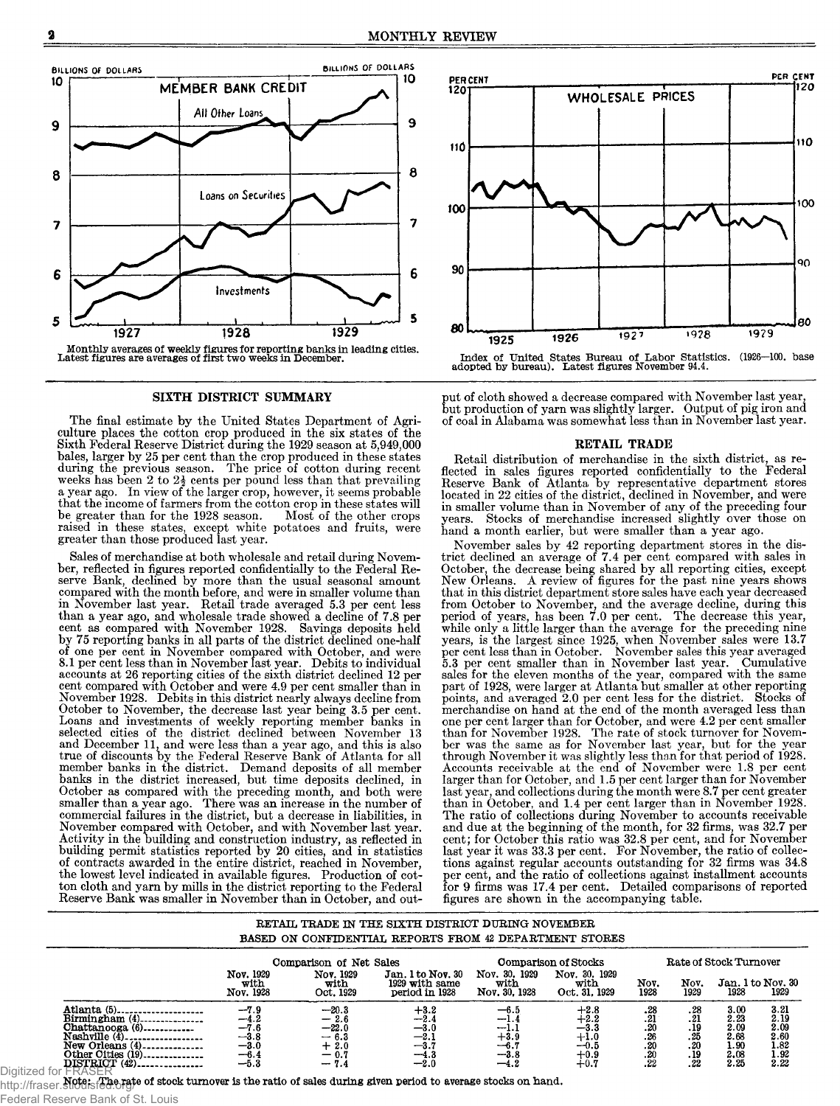

#### SIXTH DISTRICT SUMMARY

The final estimate by the United States Department of Agriculture places the cotton crop produced in the six states of the Sixth Federal Reserve District during the 1929 season at 5,949,000 bales, larger by 25 per cent than the crop produced in these states during the previous season. The price of cotton during recent weeks has been 2 to  $2\frac{1}{2}$  cents per pound less than that prevailing a year ago. In view of the larger crop, however, it seems probable that the income of farmers from the cotton crop in these states will<br>be greater than for the 1928 season. Most of the other crops be greater than for the 1928 season. raised in these states, except white potatoes and fruits, were greater than those produced last year.

Sales of merchandise at both wholesale and retail during November, reflected in figures reported confidentially to the Federal Reserve Bank, declined by more than the usual seasonal amount compared with the month before, and were in smaller volume than in November last year. Retail trade averaged 5.3 per cent less than a year ago, and wholesale trade showed a decline of 7.8 per cent as compared with November 1928. Savings deposits held by 75 reporting banks in all parts of the district declined one-half of one per cent in November compared with October, and were 8.1 per cent less than in November last year. Debits to individual accounts at 26 reporting cities of the sixth district declined 12 per cent compared with October and were 4.9 per cent smaller than in November 1928. Debits in this district nearly always decline from October to November, the decrease last year being 3.5 per cent. Loans and investments of weekly reporting member banks in selected cities of the district declined between November 13 and December 11, and were less than a year ago, and this is also true of discounts by the Federal Reserve Bank of Atlanta for all member banks in the district. Demand deposits of all member banks in the district increased, but time deposits declined, in October as compared with the preceding month, and both were smaller than a year ago. There was an increase in the number of commercial failures in the district, but a decrease in liabilities, in November compared with October, and with November last year. Activity in the building and construction industry, as reflected in building permit statistics reported by 20 cities, and in statistics of contracts awarded in the entire district, reached in November, the lowest level indicated in available figures. Production of cotton cloth and yarn by mills in the district reporting to the Federal Reserve Bank was smaller in November than in October, and out-



put of cloth showed a decrease compared with November last year, but production of yarn was slightly larger. Output of pig iron and of coal in Alabama was somewhat less than in November last year.

#### RETAIL TRADE

Retail distribution of merchandise in the sixth district, as reflected in sales figures reported confidentially to the Federal Reserve Bank of Atlanta by representative department stores located in 22 cities of the district, declined in November, and were in smaller volume than in November of any of the preceding four years. Stocks of merchandise increased slightly over those on hand a month earlier, but were smaller than a year ago.

November sales by 42 reporting department stores in the district declined an average of 7.4 per cent compared with sales in October, the decrease being shared by all reporting cities, except New Orleans. A review of figures for the past nine years shows that in this district department store sales have each year decreased from October to November, and the average decline, during this period of years, has been 7.0 per cent. The decrease this year, while only a little larger than the average for the preceding nine years, is the largest since 1925, when November sales were 13.7 per cent less than in October. November sales this year averaged 5.3 per cent smaller than in November last year. Cumulative sales for the eleven months of the year, compared with the same part of 1928, were larger at Atlanta but smaller at other reporting points, and averaged 2.0 per cent less for the district. Stocks of merchandise on hand at the end of the month averaged less than one per cent larger than for October, and were 4.2 per cent smaller than for November 1928. The rate of stock turnover for Novem-ber was the same as for November last year, but for the year through November it was slightly less than for that period of 1928. Accounts receivable at the end of November were 1.8 per cent larger than for October, and 1.5 per cent larger than for November last year, and collections during the month were 8.7 per cent greater than in October, and 1.4 per cent larger than in November 1928. The ratio of collections during November to accounts receivable and due at the beginning of the month, for 32 firms, was 32.7 per cent; for October this ratio was 32.8 per cent, and for November last year it was 33.3 per cent. For November, the ratio of collections against regular accounts outstanding for 32 firms was 34.8 per cent, and the ratio of collections against installment accounts for 9 firms was 17.4 per cent. Detailed comparisons of reported figures are shown in the accompanying table.

#### RETAIL TRADE IN THE SIXTH DISTRICT DURING NOVEMBER BASED ON CONFIDENTIAL REPORTS FROM 42 DEPARTMENT STORES

|                                                                                                                                                                                               |                                                                    | Comparison of Net Sales                                                |                                                                         |                                                                | <b>Comparison of Stocks</b>                                              |                                                 |                                                | Rate of Stock Turnover                               |                                                                 |
|-----------------------------------------------------------------------------------------------------------------------------------------------------------------------------------------------|--------------------------------------------------------------------|------------------------------------------------------------------------|-------------------------------------------------------------------------|----------------------------------------------------------------|--------------------------------------------------------------------------|-------------------------------------------------|------------------------------------------------|------------------------------------------------------|-----------------------------------------------------------------|
|                                                                                                                                                                                               | Nov. 1929<br>with<br>Nov. 1928                                     | Nov. 1929<br>with<br>Oct. 1929                                         | Jan. 1 to Nov. 30<br>1929 with same<br>period in 1928                   | Nov. 30, 1929<br>with<br>Nov. 30, 1928                         | Nov. 30, 1929<br>with<br>Oct. 31, 1929                                   | Nov.<br>1928                                    | Nov.<br>1929                                   | Jan. 1 to Nov. 30<br>1928                            | 1929                                                            |
| Birmingham $(4)$ ---------------<br>Chattanooga (6)<br>Nashville $(\overline{4})$<br>New Orleans $(4)$ <sub>--------------</sub><br>Other Oities (19)<br>DISTRICT (42).<br>$f \circ r$ $\Box$ | $-7.9$<br>$-4.2$<br>$-7.6$<br>$-3.8$<br>$-3.0$<br>$-6.4$<br>$-5.3$ | $-20.3$<br>$\frac{-2.6}{-22.0}$<br>- 6.3<br>$^{+0.0}_{-0.7}$<br>$-7.4$ | $+3.2$<br>$-2.4$<br>$_{\rm -3.0}$<br>$-2.$<br>$-3.5$<br>--4.3<br>$-2.0$ | $-6.5$<br>$-1.4$<br>-1.1<br>$+3.9$<br>$-6.$<br>--3.8<br>$-4.2$ | $+2.8$<br>$^{+2.2}$<br>$-3.3$<br>$+1.0$<br>$-0.5$<br>$+0.9$<br>$^{+0.7}$ | . 28<br>. 21<br>.20<br>.26<br>.20<br>.20<br>.22 | .28<br>.21<br>.19<br>.25<br>.20<br>. 19<br>.22 | 3.00<br>2.23<br>2.09<br>2.68<br>1.90<br>2.08<br>2.25 | 3.21<br>$2.19$<br>$2.09$<br>$\frac{2.60}{1.82}$<br>1.92<br>2.22 |

Federal Reserve Bank of St. Louis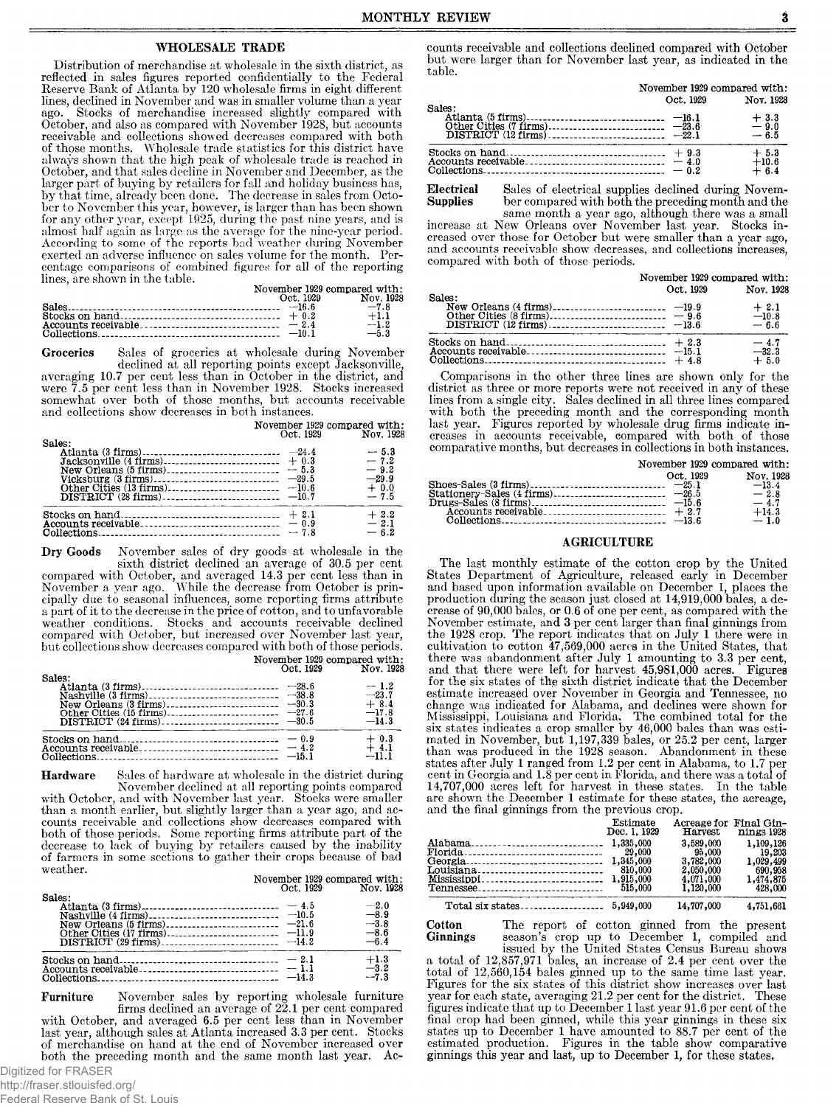#### WHOLESALE TRADE

Distribution of merchandise at wholesale in the sixth district, as reflected in sales figures reported confidentially to the Federal Reserve Bank of Atlanta by 120 wholesale firms in eight different lines, declined in November and was in smaller volume than a year ago. Stocks of merchandise increased slightly compared with October, and also as compared with November 1928, but accounts receivable and collections showed decreases compared with both of those months. Wholesale trade statistics for this district have always shown that the high peak of wholesale trade is reached in October, and that sales decline in November and December, as the larger part of buying by retailers for fall and holiday business has, by that time, already been done. The decrease in sales from October to November this year, however, is larger than has been shown for any other year, except 1925, during the past nine years, and is almost half again as large as the average for the nine-year period. According to some of the reports bad weather during November exerted an adverse influence on sales volume for the month. Percentage comparisons of combined figures for all of the reporting lines, are shown in the table.

|  | November 1929 compared with: |
|--|------------------------------|
|  | Oct. 1929 Nov. 1928          |
|  |                              |
|  | $+1.1$                       |
|  | $-1.2$                       |
|  | $-5.3$                       |

Groceries Sales of groceries at wholesale during November declined at all reporting points except Jacksonville, averaging 10.7 per cent less than in October in the district, and were 7.5 per cent less than in November 1928. Stocks increased somewhat over both of those months, but accounts receivable and collections show decreases in both instances.

|                                                                 | November 1929 compared with:<br>Oct. 1929 | Nov. 1928                             |
|-----------------------------------------------------------------|-------------------------------------------|---------------------------------------|
| Sales:                                                          |                                           | $-5.3$<br>$-7.2$                      |
| New Orleans $(5 \text{ firms})$ ------------------------- - 5.3 |                                           | $-9.2$<br>$-29.9$<br>$+0.0$<br>$-7.5$ |
|                                                                 | $-7.8$                                    | $+2.2$<br>$-2.1$<br>$-6.2$            |

Dry Goods November sales of dry goods at wholesale in the sixth district declined an average of 30.5 per cent compared with October, and averaged 14.3 per cent less than in November a year ago. While the decrease from October is principally due to seasonal influences, some reporting firms attribute a part of it to the decrease in the price of cotton, and to unfavorable weather conditions. Stocks and accounts receivable declined compared with October, but increased over November last year, but collections show decreases compared with both of those periods.

November 1929 compared with: Oct. 1929 Nov. 1928

| Sales: | $-1.2$<br>$-23.7$<br>$+8.4$<br>$-17.8$<br>$-14.3$ |
|--------|---------------------------------------------------|
|        | $+0.3$<br>$+4.1$<br>$-111$                        |

Hardware Sales of hardware at wholesale in the district during November declined at all reporting points compared

with October, and with November last year. Stocks were smaller than a month earlier, but slightly larger than a year ago, and accounts receivable and collections show decreases compared with both of those periods. Some reporting firms attribute part of the decrease to lack of buying by retailers caused by the inability of farmers in some sections to gather their crops because of bad weather.

November 1929 compared with: Oct. 1929 Nov. 1928

| Sales: |        | $-2.0$<br>$-8.9$<br>$-3.8$ |
|--------|--------|----------------------------|
|        |        | $-8.6$<br>$-6.4$           |
|        | $-2.1$ | $+1.3$<br>$-3.2$<br>$-7.3$ |

Furniture November sales by reporting wholesale furniture firms declined an average of 22.1 per cent compared with October, and averaged 6.5 per cent less than in November last year, although sales at Atlanta increased 3.3 per cent. Stocks of merchandise on hand at the end of November increased over both the preceding month and the same month last year. Ac-Digitized for FRASER

Federal Reserve Bank of St. Louis

counts receivable and collections declined compared with October but were larger than for November last year, as indicated in the table.

|                                                                | November 1929 compared with: |                             |  |
|----------------------------------------------------------------|------------------------------|-----------------------------|--|
| Sales:                                                         | Oct. 1929                    | Nov. 1928                   |  |
|                                                                |                              | $+3.3$<br>$-9.0$<br>$-6.5$  |  |
|                                                                |                              | $+5.3$<br>$+10.6$<br>$+6.4$ |  |
| Electrical Sales of electrical supplies declined during Novem- |                              |                             |  |

Electrical Sales of electrical supplies declined during Novem-Supplies ber compared with both the preceding month and the

same month a year ago, although there was a small increase at New Orleans over November last year. Stocks increased over those for October but were smaller than a year ago, and accounts receivable show decreases, and collections increases, compared with both of those periods.

|        | November 1929 compared with: |                             |
|--------|------------------------------|-----------------------------|
| Sales: | Oct. 1929                    | Nov. 1928                   |
|        |                              | $+2.1$<br>$-10.8$<br>$-6.6$ |
|        |                              | $-4.7$<br>$-32.3$<br>$+5.0$ |

Comparisons in the other three lines are shown only for the district as three or more reports were not received in any of these lines from a single city. Sales declined in all three lines compared with both the preceding month and the corresponding month last year. Figures reported by wholesale drug firms indicate increases in accounts receivable, compared with both of those comparative months, but decreases in collections in both instances.

| November 1929 compared with:                                               |  |
|----------------------------------------------------------------------------|--|
| Oct. 1929<br>Nov. 1928<br>$-13.4$<br>$-2.8$<br>$-4.7$<br>$+14.3$<br>$-1.0$ |  |

#### AGRICULTURE

The last monthly estimate of the cotton crop by the United States Department of Agriculture, released early in December and based upon information available on December 1, places the production during the season just closed at 14,919,000 bales, a decrease of 90,000 bales, or 0.6 of one per cent, as compared with the November estimate, and 3 per cent larger than final ginnings from the 1928 crop. The report indicates that on July 1 there were in cultivation to cotton 47,569,000 acres in the United States, that there was abandonment after July 1 amounting to 3.3 per cent, and that there were left for harvest 45,981,000 acres. Figures for the six states of the sixth district indicate that the December estimate increased over November in Georgia and Tennessee, no change was indicated for Alabama, and declines were shown for Mississippi, Louisiana and Florida. The combined total for the six states indicates a crop smaller by 46,000 bales than was estimated in November, but 1,197,339 bales, or 25.2 per cent, larger than was produced in the 1928 season. Abandonment in these states after July 1 ranged from 1.2 per cent in Alabama, to 1.7 per cent in Georgia and 1.8 per cent in Florida, and there was a total of 14,707,000 acres left for harvest in these states. In the table are shown the December 1 estimate for these states, the acreage, and the final ginnings from the previous crop.

| Estimate<br>Dec. 1, 1929<br>515,000 | Acreage for Final Gin-<br>Harvest<br>3,589,000<br>95,000<br>3,782,000<br>2,050,000<br>4,071,000<br>1,120,000 | nings 1928<br>1,109,126<br>19,203<br>1,029,499<br>690,958<br>1,474,875<br>428,000 |
|-------------------------------------|--------------------------------------------------------------------------------------------------------------|-----------------------------------------------------------------------------------|
|                                     | 14,707,000                                                                                                   | 4,751,661                                                                         |

Cotton The report of cotton ginned from the present Ginnings season's crop up to December 1, compiled and issued by the United States Census Bureau shows a total of 12,857,971 bales, an increase of 2.4 per cent over the total of 12,560,154 bales ginned up to the same time last year. Figures for the six states of this district show increases over last year for each state, averaging 21.2 per cent for the district. These figures indicate that up to December 1 last year 91.6 per cent of the final crop had been ginned, while this year ginnings in these six states up to December 1 have amounted to 88.7 per cent of the estimated production. Figures in the table show comparative ginnings this year and last, up to December 1, for these states.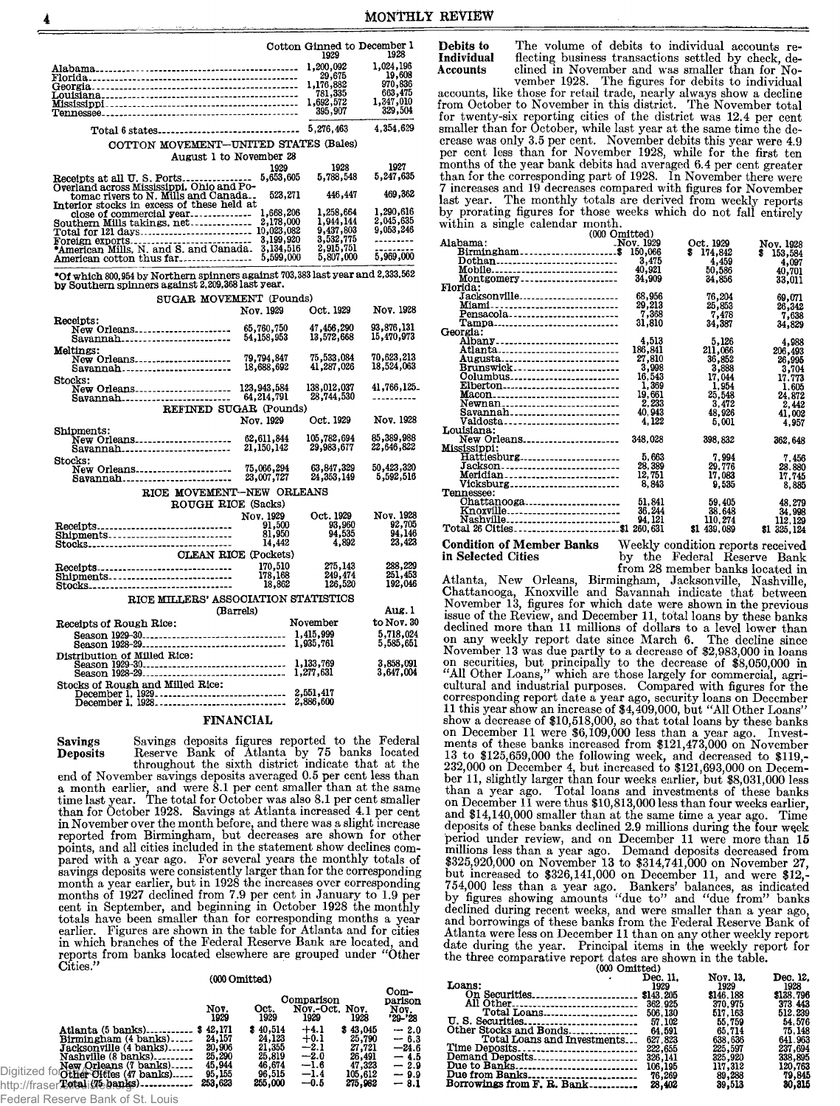Debits to

**Individual** 

|                                                                                                                                               |                           | Cotton Ginned to December 1<br>1929                                                       | 1928                   |
|-----------------------------------------------------------------------------------------------------------------------------------------------|---------------------------|-------------------------------------------------------------------------------------------|------------------------|
|                                                                                                                                               |                           | 1,200,092                                                                                 | 1,024,196              |
|                                                                                                                                               |                           |                                                                                           | 19,608                 |
|                                                                                                                                               |                           |                                                                                           | 970,836                |
|                                                                                                                                               |                           |                                                                                           | 663,475<br>1,347,010   |
|                                                                                                                                               |                           | $7,200,092$<br>$29,675$<br>$1,176,882$<br>$781,335$<br>$1,692,572$<br>$395,907$           | 329,504                |
| Total 6 states                                                                                                                                |                           | 5,276,463                                                                                 | 4,354,629              |
| COTTON MOVEMENT-UNITED STATES (Bales)                                                                                                         |                           |                                                                                           |                        |
| August 1 to November 28                                                                                                                       |                           |                                                                                           |                        |
|                                                                                                                                               | 1929                      | 1928                                                                                      | 1927                   |
| Receipts at all U. S. Ports                                                                                                                   | 5,653,605                 | 5,788,548                                                                                 | 5,247,635              |
| Overland across Mississippi, Ohio and Po-<br>tomac rivers to N. Mills and Canada.                                                             | 523.271                   | 446,447                                                                                   | 469,362                |
| Interior stocks in excess of these held at                                                                                                    |                           | 1,258,664                                                                                 | 1,290,616              |
|                                                                                                                                               |                           | 1,944,144                                                                                 | 2,045,635              |
|                                                                                                                                               |                           | $\frac{1}{3}$ , $\frac{437}{32}$ , $\frac{803}{775}$<br>$\frac{2}{3}$ , $\frac{915}{751}$ | 9,053,246              |
|                                                                                                                                               | 3,199,920                 |                                                                                           |                        |
|                                                                                                                                               | 3,134,516                 |                                                                                           |                        |
| American cotton thus far                                                                                                                      | 5,599,000                 | 5,807,000                                                                                 | 5,969,000              |
| $^{\circ}$ Of which 800,954 by Northern spinners against 703,383 last year and 2,333,562<br>by Southern spinners against 2,209,368 last year. |                           |                                                                                           |                        |
| SUGAR MOVEMENT (Pounds)                                                                                                                       |                           |                                                                                           |                        |
|                                                                                                                                               | Nov. 1929                 | Oct. 1929                                                                                 | Nov. 1928              |
| Receipts:<br>New Orleans                                                                                                                      | 65,760,750                | 47,456,290                                                                                | 93,876,131             |
| Savannah                                                                                                                                      | 54,158,953                | 13,572,668                                                                                | 15,470,973             |
| Meltings:                                                                                                                                     | 79,794,847                | 75,533,084                                                                                | 70,623,213             |
| New Orleans<br>Savannah <b></b> .                                                                                                             | 18,688,692                | 41,287,026                                                                                | 18,524,063             |
| Stocks:                                                                                                                                       |                           | 138,012,037                                                                               | 41,766,125_            |
| New Orleans<br>Savannah                                                                                                                       | 123,943,584<br>64,214,791 | 28,744,530                                                                                | ---------              |
| REFINED SUGAR (Pounds)                                                                                                                        |                           |                                                                                           |                        |
|                                                                                                                                               | Nov. 1929                 | Oct. 1929                                                                                 | Nov. 1928              |
| Shipments:                                                                                                                                    |                           |                                                                                           |                        |
| New Orleans                                                                                                                                   | 62,611,844                | 105,782,694                                                                               | 85,389,988             |
| Savannah                                                                                                                                      | 21,150,142                | 29,983,677                                                                                | 22,646,822             |
| Stocks:                                                                                                                                       |                           |                                                                                           |                        |
| New Orleans                                                                                                                                   | 75,066,294<br>23,007,727  | 63,847,329<br>24,353,149                                                                  | 50,423,320             |
| Savannah                                                                                                                                      |                           |                                                                                           | 5,592,516              |
| RICE MOVEMENT-NEW ORLEANS                                                                                                                     |                           |                                                                                           |                        |
| ROUGH RICE (Sacks)                                                                                                                            |                           |                                                                                           |                        |
|                                                                                                                                               | Nov. 1929                 | Oct. 1929                                                                                 | Nov. 1928              |
| Receipts                                                                                                                                      | 91,500                    | 93,960                                                                                    | 92,705                 |
| Shipments                                                                                                                                     | 81,950                    | 94,535                                                                                    | 94,146<br>23,423       |
| Stocks<br><b>CLEAN RICE (Pockets)</b>                                                                                                         | 14,442                    | 4,892                                                                                     |                        |
|                                                                                                                                               |                           |                                                                                           |                        |
| Receipts <sub>-</sub> ------------------------------                                                                                          | 170,510                   | 275,143<br>249,474                                                                        | 288,229<br>251,453     |
| Shipments<br>Stocks                                                                                                                           | 178,168<br>18.862         | 126,520                                                                                   | 192,046                |
| RICE MILLERS' ASSOCIATION STATISTICS                                                                                                          |                           |                                                                                           |                        |
| (Barrels)                                                                                                                                     |                           |                                                                                           | Aug. l                 |
| Receipts of Rough Rice:                                                                                                                       |                           | November                                                                                  | to Nov. 30             |
| Season 1929-30                                                                                                                                |                           | 1,415,999                                                                                 | 5,718,024              |
|                                                                                                                                               |                           | 1,935,761                                                                                 | 5,585,651              |
|                                                                                                                                               |                           |                                                                                           |                        |
|                                                                                                                                               |                           | 1,133,769                                                                                 | 3,858,091<br>3,647,004 |
|                                                                                                                                               |                           | 1,277,631                                                                                 |                        |
| Stocks of Rough and Milled Rice:                                                                                                              |                           |                                                                                           |                        |
| December 1, 1929<br>December 1, 1928                                                                                                          |                           | 2,551,417<br>2,886,600                                                                    |                        |
|                                                                                                                                               |                           |                                                                                           |                        |
| FINANCIAL                                                                                                                                     |                           |                                                                                           |                        |

Savings deposits figures reported to the Federal Reserve Bank of Atlanta by 75 banks located throughout the sixth district indicate that at the **Savings Deposits** 

end of November savings deposits averaged 0.5 per cent less than<br>a month earlier, and were 8.1 per cent smaller than at the same<br>time last year. The total for October was also 8.1 per cent smaller than for October 1928. Savings at Atlanta increased 4.1 per cent than not contain the month before, and there was a slight increase<br>reported from Birmingham, but decreases are shown for other<br>points, and all cities included in the statement show declines compared with a year ago. For several years the monthly totals of parting deposits were consistently larger than for the corresponding<br>month a year earlier, but in 1928 the increases over corresponding months of 1927 declined from 7.9 per cent in January to 1.9 per cent in September, and beginning in October 1928 the monthly totals have been smaller than for corresponding months a year source and for cities are shown in the table for Atlanta and for cities<br>in which branches of the Federal Reserve Bank are located, and<br>reports from banks located elsewhere are grouped under "Other  $C<sub>fties.</sub>'$ 

#### (000 Omitted)

|                                                                                                                                                                                                                                                | Nov.<br>1929                                                          | Oct.<br>1929                                                          | Comparison<br>Nov.-Oct. Nov.<br>1929                               | 1928                                                                   | Com-<br>parison<br>Nov.<br>'29-'28                                  |
|------------------------------------------------------------------------------------------------------------------------------------------------------------------------------------------------------------------------------------------------|-----------------------------------------------------------------------|-----------------------------------------------------------------------|--------------------------------------------------------------------|------------------------------------------------------------------------|---------------------------------------------------------------------|
| Atlanta (5 banks)<br>Birmingham (4 banks)<br>Jacksonville (4 banks)<br>Nashville (8 banks).<br>Digitized fol <b>der Orleans (7 banks)</b><br>Digitized fol <b>other Orties (47 banks)</b><br>http://fraser <b>Totalis/6.banks)------------</b> | \$42,171<br>24,157<br>20,906<br>25,290<br>45,944<br>95,155<br>253,623 | \$40,514<br>24,123<br>21,355<br>25.819<br>46,674<br>96,515<br>255.000 | $+4.1$<br>$+0.1$<br>$-2.1$<br>$-2.0$<br>$-1.6$<br>$-1.4$<br>$-0.5$ | \$43,045<br>25,790<br>27,721<br>26.491<br>47,323<br>105,612<br>275,982 | $-2.0$<br>$-6.3$<br>$-24.6$<br>$-4.5$<br>$-2.9$<br>$-9.9$<br>$-8.1$ |

Federal Reserve Bank of St. Louis

The volume of debits to individual accounts reflecting business transactions settled by check, de-

Accounts cliend in November and was smaller than for No-<br>vember 1928. The figures for debits to individual<br>accounts, like those for retail trade, nearly always show a decline<br>from October to November in this district. The smaller than for October, while last year at the same time the decrease was only 3.5 per cent. November debits this year were 4.9 per cent less than for November 1928, while for the first ten months of the year bank debits had averaged 6.4 per cent greater<br>than for the corresponding part of 1928. In November there were of a increases and 19 decreases compared with figures for November<br>last year. The monthly totals are derived from weekly reports<br>by prorating figures for those weeks which do not fall entirely within a single calendar month.

| $(000 \text{ Omitted})$                          |           |                                   |               |
|--------------------------------------------------|-----------|-----------------------------------|---------------|
| Alabama:                                         | Nov. 1929 | Oct. 1929                         | Nov. 1928     |
|                                                  | 150,066   | \$ 174,842                        | 153,584<br>s. |
| Dothan                                           | 3,475     | 4,459                             | 4,097         |
| Mobile                                           | 40,921    | 50,586                            | 40,701        |
| Montgomery                                       | 34,909    | 34,856                            | 33.011        |
| Florida:                                         |           |                                   |               |
| Jacksonville                                     | 68.956    | 76,204                            | 69.071        |
| <u> Miami-----------------------------</u>       | 29,213    | 25,853                            | 26,342        |
| Pensacola                                        | 7,368     | 7,478                             |               |
| Tampa                                            | 31,810    |                                   | 7,638         |
| Georgia:                                         |           | 34,387                            | 34,829        |
| Albany <sub>----------------------------</sub> - | 4,513     |                                   |               |
|                                                  |           | 5,126                             | 4,988         |
| Atlanta <sub>---------------------------</sub>   | 186,841   | 211,066                           | 206,493       |
| Augusta <i></i>                                  | 27,810    | 36,852                            | 26,995        |
| Brunswick                                        | 3,998     | 3,888                             | 3,704         |
| 0olumbus                                         | 16.543    | 17,044                            | 17,773        |
| Elberton--------------------------               | 1.369     | 1.954                             | 1.605         |
| Macon____________________________                | 19,661    | 25,548                            | 24.872        |
| Newnan <i></i>                                   | 2.233     | 3.472                             | 2.442         |
| Savannah                                         | 40.943    | 48.926                            | 41,002        |
| Valdosta <sub>------------------------</sub> -   | 4.122     | 5.001                             | 4.957         |
| Louisiana:                                       |           |                                   |               |
| New Orleans                                      | 348.028   | 398.832                           | 362.648       |
| Mississippi:                                     |           |                                   |               |
| $Hattiesburg_{\dots}$                            | 5.663     | 7.994                             | 7,456         |
| Jackson                                          | 28.389    | 29.776                            | 28,880        |
| Meridian_________________________                | 12,751    | 17.083                            | 17.745        |
| Vicksburg                                        | 8.843     | 9.535                             | 8.885         |
| Tennessee:                                       |           |                                   |               |
| Chattanooga                                      | 51.841    | 59.405                            | 48.279        |
| Knoxville                                        | 36.244    | 38.648                            | 34.998        |
| Nashville <sub>---------------------------</sub> | 94.121    | 110.274                           | 112, 129      |
|                                                  |           | \$1 439.089                       | \$1 325,124   |
|                                                  |           |                                   |               |
| Condition of Member Banks                        |           | Weekly condition reports received |               |

in Selected Cities

Weekly condition reports received<br>by the Federal Reserve Bank from 28 member banks located in

Atlanta, New Orleans, Birmingham, Jacksonville, Nashville, Chattanooga, Knoxville and Savannah indicate that between November 13, figures for which date were shown in the previous issue of the Review, and December 11, total loans by these banks issue of the Review, and December 11, total foals by these banks<br>declined more than 11 millions of dollars to a level lower than<br>on any weekly report date since March 6. The decline since<br>November 13 was due partly to a de "All Other Loans," which are those largely for commercial, agri-<br>cultural and industrial purposes. Compared with figures for the<br>corresponding report date a year ago, security loans on December<br>11 this year show an increa 13 to \$125,659,000 the following week, and decreased to \$119,-232,000 on December 4, but increased to \$121,693,000 on December 11, slightly larger than four weeks earlier, but \$8,031,000 less than a year ago. Total loans and investments of these banks on December 11 were thus \$10,813,000 less than four weeks earlier, and \$14,140,000 smaller than at the same time a year ago. Time deposits of these banks declined 2.9 millions during the four week<br>period under review, and on December 11 were more than 15 millions less than a year ago. Demand deposits decreased from<br>\$325,920,000 on November 13 to \$314,741,000 on November 27,<br>but increased to \$326,141,000 on December 11, and were \$12,-754,000 less than a year ago. Bankers' balances, as indicated<br>by figures showing amounts "due to" and "due from" banks declined during recent weeks, and were smaller than a year ago, and borrowings of these banks from the Federal Reserve Bank of Atlanta were less on December 11 than on any other weekly report date during the year. Principal items in the weekly report for the three comparative report dates are shown in the table.

|                             | ww <b>Ullitical</b> |           |           |  |  |  |  |
|-----------------------------|---------------------|-----------|-----------|--|--|--|--|
|                             | Dec. 11.            | Nov. 13.  | Dec. 12.  |  |  |  |  |
| Loans:                      | 1929                | 1929      | 1928      |  |  |  |  |
| On Securities               | \$143.205           | \$146.188 | \$138,796 |  |  |  |  |
|                             |                     | 370.975   | 373.443   |  |  |  |  |
|                             |                     | 517.163   | 512, 239  |  |  |  |  |
| U. S. Securities            | 57.102              | 55.759    | 54.576    |  |  |  |  |
| Other Stocks and Bonds      | 64.591              | 65.714    | 75.148    |  |  |  |  |
| Total Loans and Investments | 627.823             | 638.636   | 641.963   |  |  |  |  |
|                             |                     | 225,597   | 237,694   |  |  |  |  |
| Demand Deposits             | 326,141             | 325,920   | 338,895   |  |  |  |  |
| Due to Banks                | 106,195             | 117,312   | 120,763   |  |  |  |  |
| Due from Banks              | 76,269              | 89,288    | 79.845    |  |  |  |  |
| Borrowings from F. R. Bank  | 28,402              | 39,513    | 80.315    |  |  |  |  |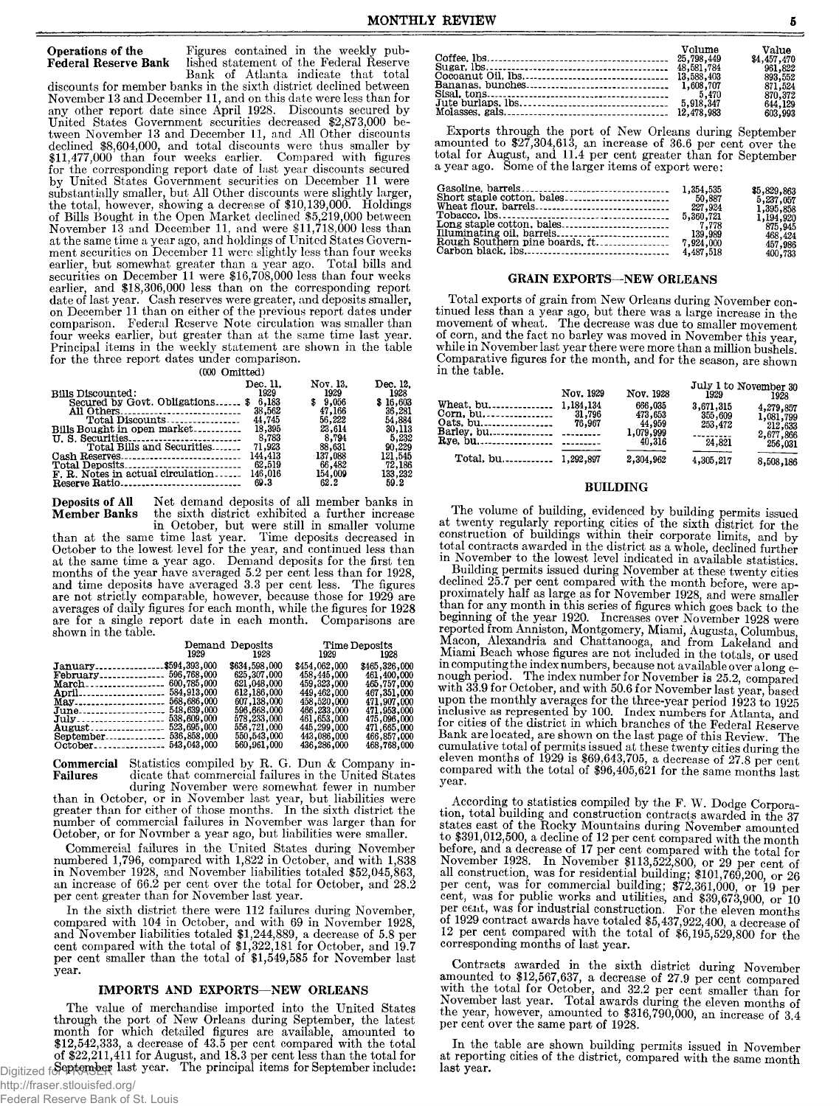## **Operations of the** Figures contained in the weekly pub-<br>Federal Reserve Bank lished statement of the Federal Reserve

Bank of Atlanta indicate that total discounts for member banks in the sixth district declined between November 13 and December 11, and on this date were less than for any other report date since April 1928. Discounts secured by United States Government securities decreased \$2,873,000 between November 13 and December 11, and All Other discounts declined \$8,604,000, and total discounts were thus smaller by \$11,477,000 than four weeks earlier. Compared with figures for the corresponding report date of last year discounts secured by United States Government securities on December 11 were substantially smaller, but All Other discounts were slightly larger, the total, however, showing a decrease of \$10,139,000. Holdings of Bills Bought in the Open Market declined \$5,219,000 between November 13 and December 11, and were \$11,718,000 less than at the same time a year ago, and holdings of United States Government securities on December 11 were slightly less than four weeks earlier, but somewhat greater than a year ago. Total bills and securities on December 11 were \$16,708,000 less than four weeks earlier, and \$18,306,000 less than on the corresponding report date of last year. Cash reserves were greater, and deposits smaller, on December 11 than on either of the previous report dates under comparison. Federal Reserve Note circulation was smaller than four weeks earlier, but greater than at the same time last year. Principal items in the weekly statement are shown in the table for the three report dates under comparison.

lished statement of the Federal Reserve

(000 Omitted)

| <b>Bills Discounted:</b>              | Dec. 11.<br>1929 | Nov. 13.<br>1929  | Dec. 12.<br>1928  |
|---------------------------------------|------------------|-------------------|-------------------|
| Secured by Govt. Obligations \$ 6,183 |                  | \$9.056           | \$16,603          |
| All Others                            | 38,562           | 47,166            | 36,281            |
| Total Discounts                       | 44,745           | 56,222            | 54,884            |
| Bills Bought in open market           | 18,395           | 23.614            | 30,113            |
|                                       | 8.783            | 8.794             | 5,232             |
|                                       | 144,413          | 88.631<br>137,088 | 90.229            |
| Total Deposits                        | 62,519           | 66,482            | 121,545<br>72,186 |
| F. R. Notes in actual circulation     | 146,016          | 154,009           | 133,232           |
| Reserve Ratio                         | 69.3             | 62.2              | 59.2              |

**Deposits of All** Net demand deposits of all member banks in **Member Banks** the sixth district exhibited a further increase the sixth district exhibited a further increase

in October, but were still in smaller volume than at the same time last year. Time deposits decreased in October to the lowest level for the year, and continued less than at the same time a year ago. Demand deposits for the first ten months of the year have averaged 5.2 per cent less than for 1928, and time deposits have averaged 3.3 per cent less. The figures are not strictly comparable, however, because those for 1929 are averages of daily figures for each month, while the figures for 1928 are for a single report date in each month. Comparisons are shown in the table.

|                                                                                                              | 1929                                                     | Demand Deposits<br>1928                                                                                                                              | Time Deposits<br>1929 — 1930                                                                                                                         | 1928                                                                                                                                                 |
|--------------------------------------------------------------------------------------------------------------|----------------------------------------------------------|------------------------------------------------------------------------------------------------------------------------------------------------------|------------------------------------------------------------------------------------------------------------------------------------------------------|------------------------------------------------------------------------------------------------------------------------------------------------------|
| January\$594,393,000<br>February 596,768.000<br>March 600,785,000<br>$June_{\dots}$<br>July<br><b>August</b> | 568,686,000<br>548,639,000<br>538,609,000<br>523,695,000 | \$634,598,000<br>625,307,000<br>621,048,000<br>612,186,000<br>607,138,000<br>596,668,000<br>578,233,000<br>556,721,000<br>550,543,000<br>560,961,000 | \$454,062,000<br>458,445,000<br>459,323,000<br>449,462,000<br>458,520,000<br>466,233,000<br>461,653,000<br>445,299,000<br>443,086,000<br>436,286,000 | \$465,326,000<br>461,400,000<br>465,757,000<br>467,351,000<br>471,907,000<br>471,953,000<br>475,096,000<br>471,665,000<br>466,857,000<br>468,768,000 |

**Commercial** Statistics compiled by R. G. Dun & Company in-<br>**Failures** dicate that commercial failures in the United States **F a ilu r e s** dicate that commercial failures in the United States during November were somewhat fewer in number

than in October, or in November last year, but liabilities were greater than for either of those months. In the sixth district the number of commercial failures in November was larger than for October, or for Novmber a year ago, but liabilities were smaller.

Commercial failures in the United States during November numbered 1,796, compared with 1,822 in October, and with 1,838 in November 1928, and November liabilities totaled \$52,045,863, an increase of 66.2 per cent over the total for October, and 28.2 per cent greater than for November last year.

In the sixth district there were 112 failures during November, compared with 104 in October, and with 69 in November 1928, and November liabilities totaled \$1,244,889, a decrease of 5.8 per cent compared with the total of \$1,322,181 for October, and 19.7 per cent smaller than the total of \$1,549,585 for November last year.

#### IMPORTS AND EXPORTS—NEW ORLEANS

The value of merchandise imported into the United States through the port of New Orleans during September, the latest month for which detailed figures are available, amounted to \$12,542,333, a decrease of 43.5 per cent compared with the total of  $$22,211,411$  for August, and 18.3 per cent less than the total for Digitized for **September** last year. The principal items for September include:

Exports through the port of New Orleans during September amounted to \$27,304,613, an increase of 36.6 per cent over the total for August, and 11.4 per cent greater than for September a year ago. Some of the larger items of export were:

| 5,360,721<br>139,989 | \$5,829,863<br>5,237,057<br>1,395,858<br>1,194,920<br>875,945<br>468,424<br>457,986 |
|----------------------|-------------------------------------------------------------------------------------|
|                      | 400,733                                                                             |

#### GRAIN EXPORTS—NEW ORLEANS

Total exports of grain from New Orleans during November continued less than a year ago, but there was a large increase in the movement of wheat. The decrease was due to smaller movement of corn, and the fact no barley was moved in November this year while in November last year there were more than a million bushels. Comparative figures for the month, and for the season, are shown in the table.

|                                                         | Nov. 1929 | Nov. 1928                                           | 1929                                      | July 1 to November 30<br>1928                             |
|---------------------------------------------------------|-----------|-----------------------------------------------------|-------------------------------------------|-----------------------------------------------------------|
| Wheat, bu 1,184,134<br>Oats. bu<br>Barley. bu --------- | 76.967    | 666,035<br>473.653<br>44,959<br>1,079,999<br>40,316 | 3,671,315<br>355,609<br>253,472<br>24,821 | 4,279,857<br>1,081,799<br>212,633<br>2,677,866<br>256,031 |
| Total. bu 1,292,897                                     |           | 2,304,962                                           | 4,305,217                                 | 8,508,186                                                 |

#### BUILDING

The volume of building, evidenced by building permits issued at twenty regularly reporting cities of the sixth district for the construction of buildings within their corporate limits, and by total contracts awarded in the district as a whole, declined further in November to the lowest level indicated in available statistics.

Building permits issued during November at these twenty cities declined 25.7 per cent compared with the month before, were approximately half as large as for November 1928, and were smaller than for any month in this series of figures which goes back to the beginning of the year 1920. Increases over November 1928 were reported from Anniston, Montgomery, Miami, Augusta, Columbus, Macon, Alexandria and Chattanooga, and from Lakeland and Miami Beach whose figures are not included in the totals, or used in computing the index numbers, because not available over along e-nough period. The index number for November is 25.2, compared with 33.9 for October, and with 50.6 for November last year, based upon the monthly averages for the three-year period 1923 to 1925 inclusive as represented by 100. Index numbers for Atlanta, and for cities of the district in which branches of the Federal Reserve Bank are located, are shown on the last page of this Review. The cumulative total of permits issued at these twenty cities during the eleven months of 1929 is \$69,643,705, a decrease of 27.8 per cent compared with the total of \$96,405,621 for the same months last year.

According to statistics compiled by the F. W. Dodge Corporation, total building and construction contracts awarded in the 37 states east of the Rocky Mountains during November amounted to \$391,012,500, a decline of 12 per cent compared with the month before, and a decrease of 17 per cent compared with the total for November 1928. In November \$113,522,800, or 29 per cent of all construction, was for residential building; \$101,769,200, or 26 per cent, was for commercial building; \$72,361,000, or 19 per cent, was for public works and utilities, and \$39,673,900, or 10 per cent, was for industrial construction. For the eleven months of 1929 contract awards have totaled \$5,437,922,400, a decrease of 12 per cent compared with the total of \$6,195,529,800 for the corresponding months of last year.

Contracts awarded in the sixth district during November amounted to \$12,567,637, a decrease of 27.9 per cent compared with the total for October, and 32.2 per cent smaller than for November last year. Total awards during the eleven months of the year, however, amounted to  $$316,790,000$ , an increase of  $3.4$ per cent over the same part of 1928.

In the table are shown building permits issued in November at reporting cities of the district, compared with the same month last year.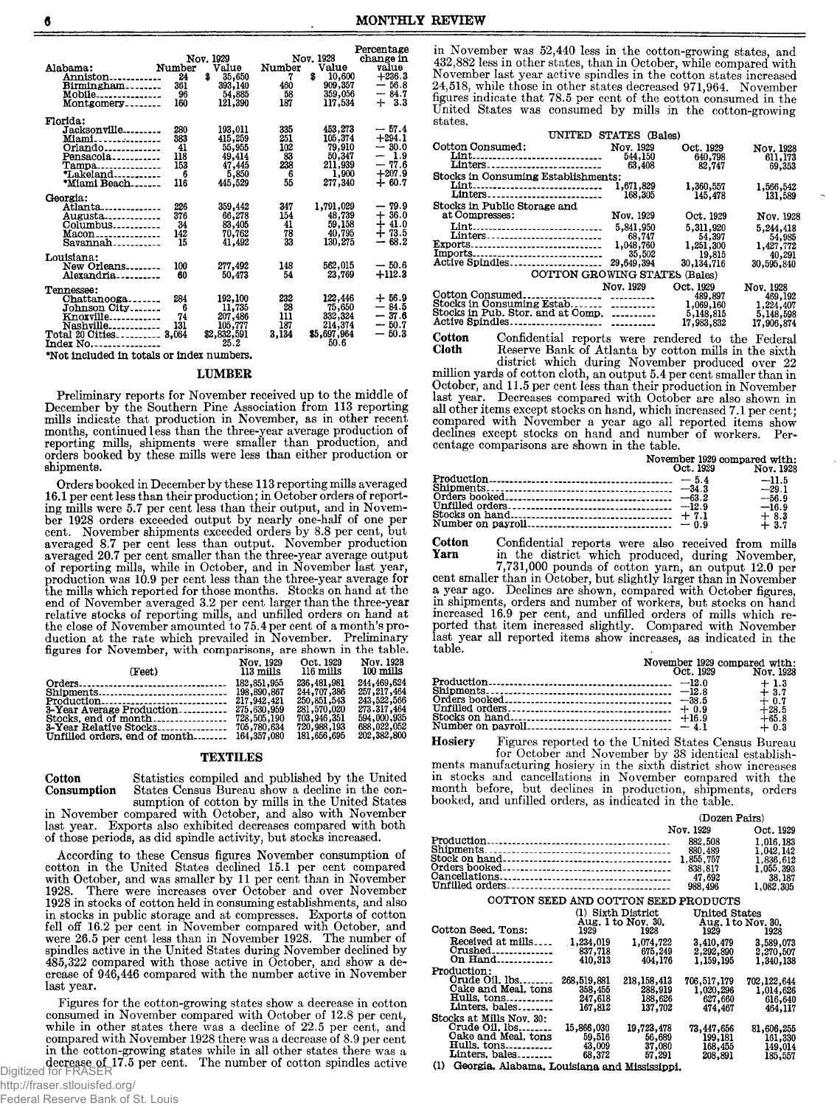|                                   |        |              |        |             | Percentage |
|-----------------------------------|--------|--------------|--------|-------------|------------|
|                                   |        | Nov. 1929    |        | Nov. 1928   | change in  |
| Alabama:                          | Number | Value        | Number | Value       | value      |
| Anniston <sub>------------</sub>  | 24     | \$<br>35,650 | 7      | 10,600<br>s | $+236.3$   |
| Birmingham                        | 361    | 393,140      | 460    | 909,357     | $-56.8$    |
| Mobile---------------             | 96     | 54,885       | 58     | 359,056     | $-84.7$    |
| Montgomery                        | 160    | 121,390      | 187    | 117,534     | $+3.3$     |
| Florida:                          |        |              |        |             |            |
| Jacksonville                      | 280    | 193,011      | 335    | 453,273     | $-57.4$    |
| Miami                             | 383    | 415,259      | 251    | 105,374     | $+294.1$   |
| Orlando                           | 41     | 55,955       | 102    | 79,910      | $-30.0$    |
| Pensacola                         | 118    | 49,414       | 83     | 50.347      | $-1.9$     |
| Tampa <sub>---------------</sub>  | 153    | 47,445       | 238    | 211,939     | $-77.6$    |
| *Lakeland-----------              | 6      | 5,850        | 6      | 1,900       | $+207.9$   |
| *Miami Beach                      | 116    | 445,529      | 55     | 277,340     | $+60.7$    |
|                                   |        |              |        |             |            |
| Georgia:                          |        |              |        |             |            |
| Atlanta_____________              | 226    | 359,442      | 347    | 1,791,029   | $-79.9$    |
| Augusta <b>.</b>                  | 376    | 66,278       | 154    | 48,739      | $+36.0$    |
| Columbus                          | 34     | 83,405       | 41     | 59,158      | $+41.0$    |
| $Macon$                           | 142    | 70,762       | 78     | 40,795      | $+73.5$    |
| Savannah                          | 15     | 41,492       | 33     | 130,275     | $-68.2$    |
|                                   |        |              |        |             |            |
| Louisiana:                        |        |              |        |             |            |
| New Orleans                       | 100    | 277,492      | 148    | 562,015     | $-50.6$    |
| Alexandria                        | 60     | 50,473       | 54     | 23.769      | $+112.3$   |
| Tennessee:                        |        |              |        |             |            |
| Chattanooga                       | 284    | 192,100      | 232    | 122,446     | $+56.9$    |
| Johnson City                      | 6      | 11,735       | 28     | 75,650      | $-84.5$    |
| Knoxville                         | 74     | 207,486      | 111    | 332,324     | $-37.6$    |
| Nashville <sub>------------</sub> | 131    | 105,777      | 187    | 214,374     | $-50.7$    |
| Total 20 Oities                   | 3,064  | \$2,832,591  | 3,134  | \$5,697,964 | $-50.3$    |
| Index No.                         |        | 25.2         |        | 50.6        |            |
|                                   |        |              |        |             |            |

\*Not included in totals or index numbers.

#### LUMBER

Preliminary reports for November received up to the middle of December by the Southern Pine Association from 113 reporting mills indicate that production in November, as in other recent months, continued less than the three-year average production of reporting mills, shipments were smaller than production, and orders booked by these mills were less than either production or shipments.

Orders booked in December by these 113 reporting mills averaged 16.1 per cent less than their production; in October orders of reporting mills were 5.7 per cent less than their output, and in November 1928 orders exceeded output by nearly one-half of one per cent. November shipments exceeded orders by 8.8 per cent, but averaged 8.7 per cent less than output. November production averaged 20.7 per cent smaller than the three-year average output of reporting mills, while in October, and in November last year, production was 10.9 per cent less than the three-year average for the mills which reported for those months. Stocks on hand at the end of November averaged 3.2 per cent larger than the three-year relative stocks of reporting mills, and unfilled orders on hand at the close of November amounted to 75.4 per cent of a month's production at the rate which prevailed in November. Preliminary figures for November, with comparisons, are shown in the table.

|                                             | Nov. 1929 | Oct. 1929   | Nov. 1928     |
|---------------------------------------------|-----------|-------------|---------------|
| (Feet)                                      | 113 mills | 116 mills   | 100 mills     |
|                                             |           | 236,481,981 | 244,469,624   |
|                                             |           | 244,707,386 | 257, 217, 464 |
|                                             |           | 250,851,543 | 243,522,566   |
|                                             |           | 281,570,020 | 273.317.464   |
|                                             |           | 703,946,351 | 594,000,935   |
|                                             |           | 720,988,193 | 688,022,052   |
| Unfilled orders, end of month $164,357,080$ |           | 181,656,695 | 202,382,800   |

#### TEXTILES

Cotton Statistics compiled and published by the United Consumption States Census Bureau show a decline in the consumption of cotton by mills in the United States

in November compared with October, and also with November last year. Exports also exhibited decreases compared with both of those periods, as did spindle activity, but stocks increased.

According to these Census figures November consumption of cotton in the United States declined 15.1 per cent compared with October, and was smaller by 11 per cent than in November 1928. There were increases over October and over November 1928 in stocks of cotton held in consuming establishments, and also in stocks in public storage and at compresses. Exports of cotton fell off 16.2 per cent in November compared with October, and were 26.5 per cent less than in November 1928. The number of spindles active in the United States during November declined by 485,322 compared with those active in October, and show a decrease of 946,446 compared with the number active in November last year.

Figures for the cotton-growing states show a decrease in cotton consumed in November compared with October of 12.8 per cent, while in other states there was a decline of 22.5 per cent, and compared with November 1928 there was a decrease of 8.9 per cent in the cotton-growing states while in all other states there was a decrease of 17.5 per cent. The number of cotton spindles active<br>for FRASER

in November was 52,440 less in the cotton-growing states, and 432,882 less in other states, than in October, while compared with November last year active spindles in the cotton states increased 24,518, while those in other states decreased 971,964. November figures indicate that 78.5 per cent of the cotton consumed in the United States was consumed by mills in the cotton-growing states.

|                                                  | UNITED STATES (Bales) |                                                              |                                                              |
|--------------------------------------------------|-----------------------|--------------------------------------------------------------|--------------------------------------------------------------|
| <b>Cotton Consumed:</b><br>Lint                  | Nov. 1929<br>544,150  | Oct. 1929<br>640,798                                         | Nov. 1928<br>611,173                                         |
| Stocks in Consuming Establishments:              | 63,408                | 82,747                                                       | 69,353                                                       |
| Lint<br>Linters                                  | 1,671,829<br>168,305  | 1,360,557<br>145,478                                         | 1,566,542<br>131,589                                         |
| Stocks in Public Storage and<br>at Compresses:   | Nov. 1929             | Oct. 1929                                                    | Nov. 1928                                                    |
| Lint<br>Linters                                  | 5,841,950<br>68,747   | 5,311,920<br>54,397                                          | 5,244,418<br>54,985                                          |
| Exports<br>Imports                               | 1,048,760<br>35,502   | 1,251,300<br>19,815                                          | 1,427,772<br>40,291                                          |
| Active Spindles<br>COTTON GROWING STATES (Bales) | 29,649,394            | 30,134,716                                                   | 30,595,840                                                   |
|                                                  |                       |                                                              |                                                              |
| Stocks in Pub. Stor. and at Comp.                | Nov. 1929             | Oct. 1929<br>489,897<br>1,069,160<br>5,148,815<br>17,983,832 | Nov. 1928<br>469,192<br>1,224,407<br>5,148,598<br>17,906,874 |

Cotton Confidential reports were rendered to the Federal Cloth Reserve Bank of Atlanta by cotton mills in the sixth Reserve Bank of Atlanta by cotton mills in the sixth district which during November produced over 22 million yards of cotton cloth, an output 5.4 per cent smaller than in October, and 11.5 per cent less than their production in November last year. Decreases compared with October are also shown in all other items except stocks on hand, which increased 7.1 per cent; compared with November a year ago all reported items show declines except stocks on hand and number of workers. Percentage comparisons are shown in the table.

|           | November 1929 compared with: |
|-----------|------------------------------|
| Oct. 1929 | Nov. 1928                    |
|           | $-11.5$                      |
|           | $-29.1$                      |
|           | $-56.9$                      |
|           | $-16.9$                      |
|           | $+8.3$                       |
|           | $+3.7$                       |

**Cotton** Confidential reports were also received from mills **Yarn** in the district which produced during November

Yarn in the district which produced, during November, 7,731,000 pounds of cotton yarn, an output 12.0 per cent smaller than in October, but slightly larger than in November a year ago. Declines are shown, compared with October figures, in shipments, orders and number of workers, but stocks on hand increased 16.9 per cent, and unfilled orders of mills which re-ported that item increased slightly. Compared with November last year all reported items show increases, as indicated in the table.

|  | Oct. 1929 | November 1929 compared with:<br>Nov. 1928 |
|--|-----------|-------------------------------------------|
|  |           | $+1.3$                                    |
|  |           | $+3.7$                                    |
|  |           | $+0.7$                                    |
|  |           | $+28.5$                                   |
|  |           | $+65.8$                                   |
|  |           | $+0.3$                                    |

Hosiery Figures reported to the United States Census Bureau for October and November by 38 identical establishments manufacturing hosiery in the sixth district show increases in stocks and cancellations in November compared with the month before, but declines in production, shipments, orders booked, and unfilled orders, as indicated in the table.

|                                      |             |                            | (Dozen Pairs)              |                        |  |  |
|--------------------------------------|-------------|----------------------------|----------------------------|------------------------|--|--|
|                                      |             |                            | Nov. 1929                  | Oct. 1929              |  |  |
|                                      |             |                            | 882,508<br>880,489         | 1,016,183<br>1,042,142 |  |  |
|                                      |             |                            | 1.855.757                  | 1.836.612              |  |  |
|                                      |             |                            | 838.817                    | 1.055.393              |  |  |
|                                      |             |                            | 47.692                     | 38,187                 |  |  |
|                                      |             |                            | 988,496                    | 1,082,305              |  |  |
| COTTON SEED AND COTTON SEED PRODUCTS |             |                            |                            |                        |  |  |
|                                      |             | (1) Sixth District         | United States              |                        |  |  |
| Cotton Seed. Tons:                   | 1929        | Aug. 1 to Nov. 30.<br>1928 | Aug. 1 to Nov. 30,<br>1929 | 1928                   |  |  |
| Received at mills                    | 1,234,019   | 1,074,722                  | 3,410,479                  | 3,589,073              |  |  |
| $Crushed$ -------------              | 837,718     | 675,249                    | 2,292,890                  | 2,270,507              |  |  |
| On $Hand$ <sub>-------------</sub>   | 410,313     | 404,176                    | 1,159,195                  | 1,340,138              |  |  |
| Production:                          |             |                            |                            |                        |  |  |
| Orude Oil, Ibs                       | 268,519,881 | 218, 158, 413              | 706,517,179                | 702,122,644            |  |  |
| Cake and Meal, tons                  | 358,455     | 288,919                    | 1,020,296                  | 1,014,626              |  |  |
| Hulls, tons                          | 247,618     | 188,626                    | 627,660                    | 616,640                |  |  |
| Linters, bales                       | 167,812     | 137,702                    | 474.467                    | 464,117                |  |  |
| Stocks at Mills Nov. 30:             |             |                            |                            |                        |  |  |
| Crude Oil, Ibs                       | 15,866,030  | 19,723,478                 | 73,447,656                 | 81,606,255             |  |  |
| Cake and Meal, tons                  | 59,516      | 56,689                     | 199.181                    | 161,330                |  |  |
| <b>Hulls. tons</b> .                 | 43,009      | 37,080                     | 168,455                    | 149,014                |  |  |
| Linters, bales                       | 68.372      | 57,291                     | 208,891                    | 185,557                |  |  |

(1) Georgia. Alabama, Louisiana and Mississippi.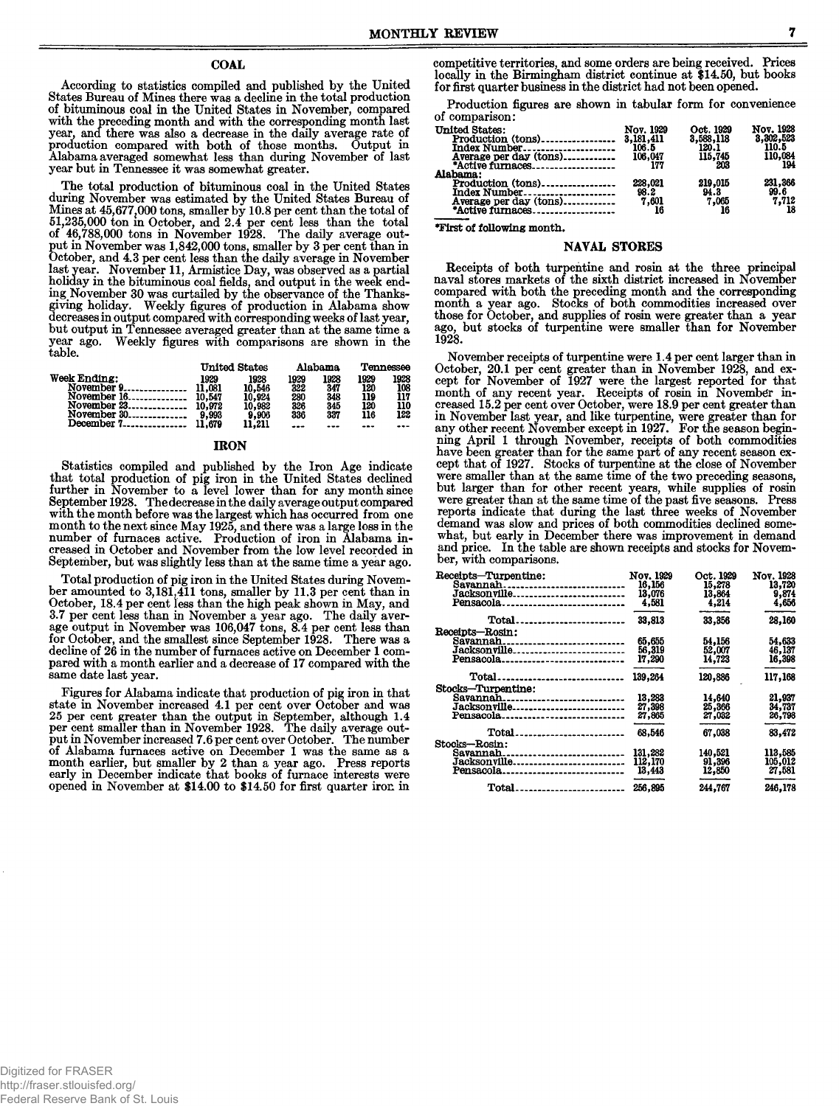#### **COAL**

According to statistics compiled and published by the United States Bureau of Mines there was a decline in the total production<br>of bituminous coal in the United States in November, compared with the preceding month and with the corresponding month last went the team and there was also a decrease in the daily average rate of<br>production compared with both of those months. Output in<br>Alabama averaged somewhat less than during November of last year but in Tennessee it was somewhat greater.

The total production of bituminous coal in the United States during November was estimated by the United States Bureau of<br>Mines at 45,677,000 tons, smaller by 10.8 per cent than the total of 51,235,000 ton in October, and 2.4 per cent less than the total<br>of 46,788,000 tons in November 1928. The daily average output in November was 1,842,000 tons, smaller by 3 per cent than in<br>October, and 4.3 per cent less than the daily average in November last year. November 11, Armistice Day, was observed as a partial holiday in the bituminous coal fields, and output in the week ending November 30 was curtailed by the observance of the Thanksgiving holiday. Weekly figures of production in Alabama show decreases in output compared with corresponding weeks of last year,<br>but output in Tennessee averaged greater than at the same time a year ago. Weekly figures with comparisons are shown in the table.

|                  |        | <b>United States</b> |      | Alabama | Tennessee |      |
|------------------|--------|----------------------|------|---------|-----------|------|
| Week Ending:     | 1929   | 1928                 | 1929 | 1928    | 1929      | 1928 |
| November $9$     | 11.081 | 10.546               | 322  | 347     | 120       | 108  |
| November 16      | 10.547 | 10.924               | 280  | 348     | 119       | 117  |
| November $23$    | 10.972 | 10.982               | 326  | 345     | 120       | 110  |
| November 30      | 9.993  | 9,906                | 336  | 337     | 116       | 122  |
| December $7 - 1$ | .679   | 11.211               |      |         |           |      |

#### **IRON**

Statistics compiled and published by the Iron Age indicate<br>that total production of pig iron in the United States declined<br>further in November to a level lower than for any month since Turner in November to a level lower than for any month since<br>September 1928. The decrease in the daily average output compared<br>with the month before was the largest which has occurred from one<br>month to the next since May 1 September, but was slightly less than at the same time a year ago.

Total production of pig iron in the United States during November amounted to 3,181,411 tons, smaller by 11.3 per cent than in October, 18.4 per cent less than the high peak shown in May, and 3.7 per cent less than in November a year ago. The daily average output in November was 106,047 tons, 8.4 per cent less than for October, and the smallest since September 1928. There was a decline of 26 in the number of furnaces active on December 1 compared with a month earlier and a decrease of 17 compared with the same date last year.

Figures for Alabama indicate that production of pig iron in that rigues for cent over October and was<br>state in November increased 4.1 per cent over October and was<br>25 per cent greater than the output in September, although 1.4<br>per cent smaller than in November 1928. The daily average ou put in November increased 7.6 per cent over October. The number of Alabama furnaces active on December 1 was the same as a month earlier, but smaller by 2 than a year ago. Press reports<br>early in December indicate that books of furnace interests were opened in November at \$14.00 to \$14.50 for first quarter iron in

competitive territories, and some orders are being received. Prices locally in the Birmingham district continue at \$14.50, but books<br>for first quarter business in the district had not been opened.

Production figures are shown in tabular form for convenience of comparison:

| <b>United States:</b><br>Index Number<br>Average per day (tons)<br>*Active furnaces                                         | <b>Nov. 1929</b><br>106.5<br>106,047<br>177 | Oct. 1929<br>3,588,118<br>120.1<br>115,745<br>203 | Nov. 1928<br>3,302,523<br>110.5<br>110,084<br>194 |
|-----------------------------------------------------------------------------------------------------------------------------|---------------------------------------------|---------------------------------------------------|---------------------------------------------------|
| Alabama:<br>$Production (tons) \dots \dots \dots \dots \dots$<br>Index Number<br>Average per day (tons)<br>*Active furnaces | 228.021<br>98.2<br>7,601<br>16              | 219,015<br>94.3<br>7,065                          | 231,366<br>99.6<br>7.712<br>18                    |

\*First of following month.

#### **NAVAL STORES**

Receipts of both turpentine and rosin at the three principal naval stores markets of the sixth district increased in November compared with both the preceding month and the corresponding<br>month a year ago. Stocks of both commodities increased over<br>those for October, and supplies of rosin were greater than a year ago, but stocks of turpentine were smaller than for November 1928.

November receipts of turpentine were 1.4 per cent larger than in November receipts of urpentium weiter i. Here can have the largest reported for that<br>cept for November of 1927 were the largest reported for that<br>month of any recent year. Receipts of rosin in November in-<br>creased 15.2 per or assessment of the term over observe, were the set of the set of the set of the set of the set of the set of the set of the set of the set of the set of the set of the set of the set of the set of the set of the set of t were smaller than at the same time of the two preceding seasons, but larger than for other recent years, while supplies of rosin were greater than at the same time of the past five seasons. Press reports indicate that during the last three weeks of November demand was slow and prices of both commodities declined somewhat, but early in December there was improvement in demand and price. In the table are shown receipts and stocks for November, with comparisons.

| Receipts-Turpentine:                              | <b>Nov. 1929</b> | Oct. 1929 | Nov. 1928 |
|---------------------------------------------------|------------------|-----------|-----------|
| Savannah                                          | 16.156           | 15.278    | 13,720    |
| Jacksonville                                      | 13.076           | 13,864    | 9,874     |
| Pensacola                                         | 4.581            | 4,214     | 4,656     |
| Total                                             | 33,813           | 33,356    | 28,160    |
| Receipts—Rosin:                                   |                  |           |           |
| Savannah.<br>--------------------------           | 65,655           | 54,156    | 54,633    |
| Jacksonville                                      | 56,319           | 52,007    | 46,137    |
| Pensacola.                                        | 17,290           | 14.723    | 16,398    |
| ---------------------------                       |                  |           |           |
| Total <sub>-----------------------------</sub> -  | 139,264          | 120.886   | 117.168   |
| Stocks—Turpentine:                                |                  |           |           |
| Savannah<br>---------------------------           | 13,283           | 14.640    | 21,937    |
| Jacksonville                                      | 27,398           | 25,366    | 34,737    |
| Pensacola <sub>----------------------------</sub> | 27,865           | 27,032    | 26,798    |
| Total                                             | 68,546           | 67,038    | 83,472    |
| <b>Stocks—Rosin:</b>                              |                  |           |           |
| Savannah.<br>-------------------------            | 131,282          | 140.521   | 113,585   |
| Jacksonville                                      | 112,170          | 91,396    | 105,012   |
| Pensacola                                         | 13,443           | 12,850    | 27.581    |
|                                                   |                  |           |           |
| Total.<br>-------------------------               | 256,895          | 244.767   | 246,178   |